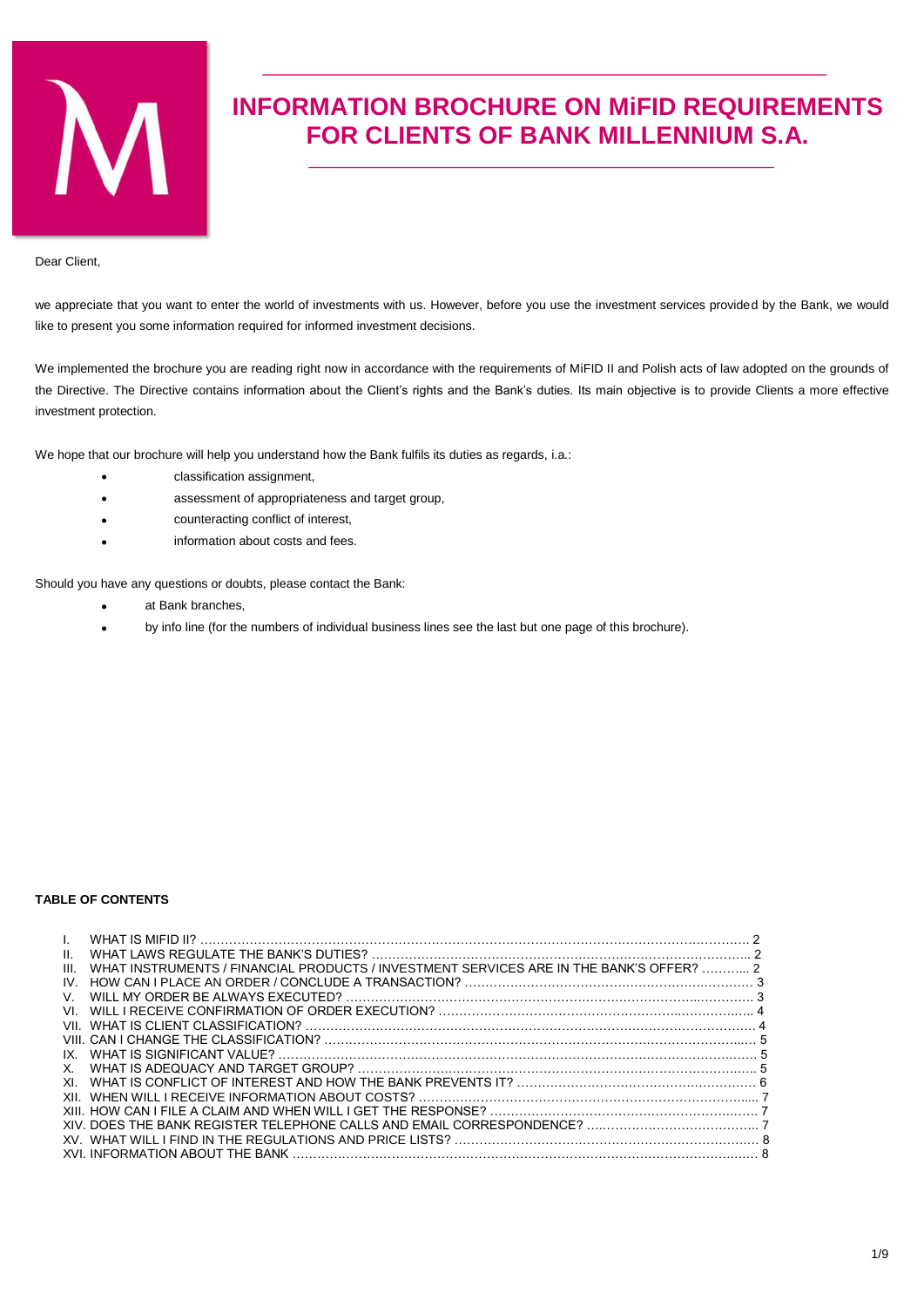

# **INFORMATION BROCHURE ON MiFID REQUIREMENTS FOR CLIENTS OF BANK MILLENNIUM S.A.**

Dear Client,

we appreciate that you want to enter the world of investments with us. However, before you use the investment services provided by the Bank, we would like to present you some information required for informed investment decisions.

We implemented the brochure you are reading right now in accordance with the requirements of MiFID II and Polish acts of law adopted on the grounds of the Directive. The Directive contains information about the Client's rights and the Bank's duties. Its main objective is to provide Clients a more effective investment protection.

We hope that our brochure will help you understand how the Bank fulfils its duties as regards, i.a.:

- classification assignment,
- assessment of appropriateness and target group,
- counteracting conflict of interest,
- information about costs and fees.

Should you have any questions or doubts, please contact the Bank:

- at Bank branches,
- by info line (for the numbers of individual business lines see the last but one page of this brochure).

#### **TABLE OF CONTENTS**

| H.   |                                                                                         |  |
|------|-----------------------------------------------------------------------------------------|--|
| III. | WHAT INSTRUMENTS / FINANCIAL PRODUCTS / INVESTMENT SERVICES ARE IN THE BANK'S OFFER?  2 |  |
| IV.  |                                                                                         |  |
| V.   |                                                                                         |  |
| VI.  |                                                                                         |  |
| VII. |                                                                                         |  |
|      |                                                                                         |  |
| IX.  |                                                                                         |  |
| X.   |                                                                                         |  |
| XL.  |                                                                                         |  |
| XII. |                                                                                         |  |
|      |                                                                                         |  |
|      |                                                                                         |  |
|      |                                                                                         |  |
|      |                                                                                         |  |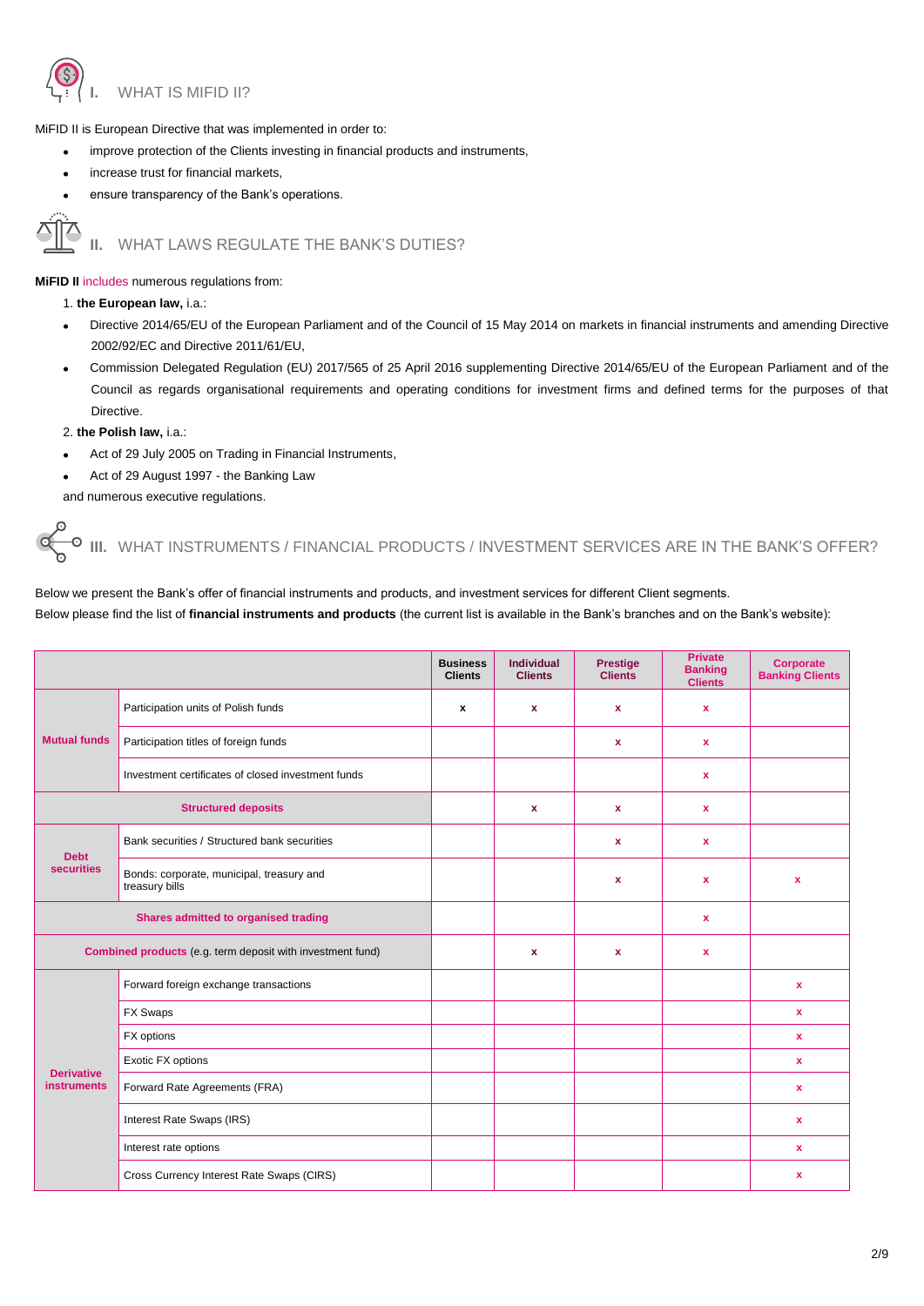

MiFID II is European Directive that was implemented in order to:

- improve protection of the Clients investing in financial products and instruments,
- increase trust for financial markets,
- ensure transparency of the Bank's operations.

## **II.** WHAT LAWS REGULATE THE BANK'S DUTIES?

**MiFID II** includes numerous regulations from:

1. **the European law,** i.a.:

- Directive 2014/65/EU of the European Parliament and of the Council of 15 May 2014 on markets in financial instruments and amending Directive 2002/92/EC and Directive 2011/61/EU,
- Commission Delegated Regulation (EU) 2017/565 of 25 April 2016 supplementing Directive 2014/65/EU of the European Parliament and of the Council as regards organisational requirements and operating conditions for investment firms and defined terms for the purposes of that Directive.
- 2. **the Polish law,** i.a.:
- Act of 29 July 2005 on Trading in Financial Instruments,
- Act of 29 August 1997 the Banking Law

and numerous executive regulations.

**III.** WHAT INSTRUMENTS / FINANCIAL PRODUCTS / INVESTMENT SERVICES ARE IN THE BANK'S OFFER?

**Business Clients Individual Clients Prestige Clients Private Banking Clients Corporate Banking Clients Mutual funds** Participation units of Polish funds **x x x x x x x** Participation titles of foreign funds **x x x x x** Investment certificates of closed investment funds **x Structured deposits x x x Debt securities** Bank securities / Structured bank securities **by a contained bank securities x x x** Bonds: corporate, municipal, treasury and treasury bills **<sup>x</sup> <sup>x</sup> <sup>x</sup> Shares admitted to organised trading the set of the set of the set of the set of the set of the set of the set of the set of the set of the set of the set of the set of the set of the set of the set of the set of the set Combined products** (e.g. term deposit with investment fund) **x x x Derivative instruments**  Forward foreign exchange transactions **x** FX Swaps **x** FX options **x** Exotic FX options **x** Forward Rate Agreements (FRA) **x** Interest Rate Swaps (IRS) **x** Interest rate options **x** Cross Currency Interest Rate Swaps (CIRS) **x**

Below we present the Bank's offer of financial instruments and products, and investment services for different Client segments. Below please find the list of **financial instruments and products** (the current list is available in the Bank's branches and on the Bank's website):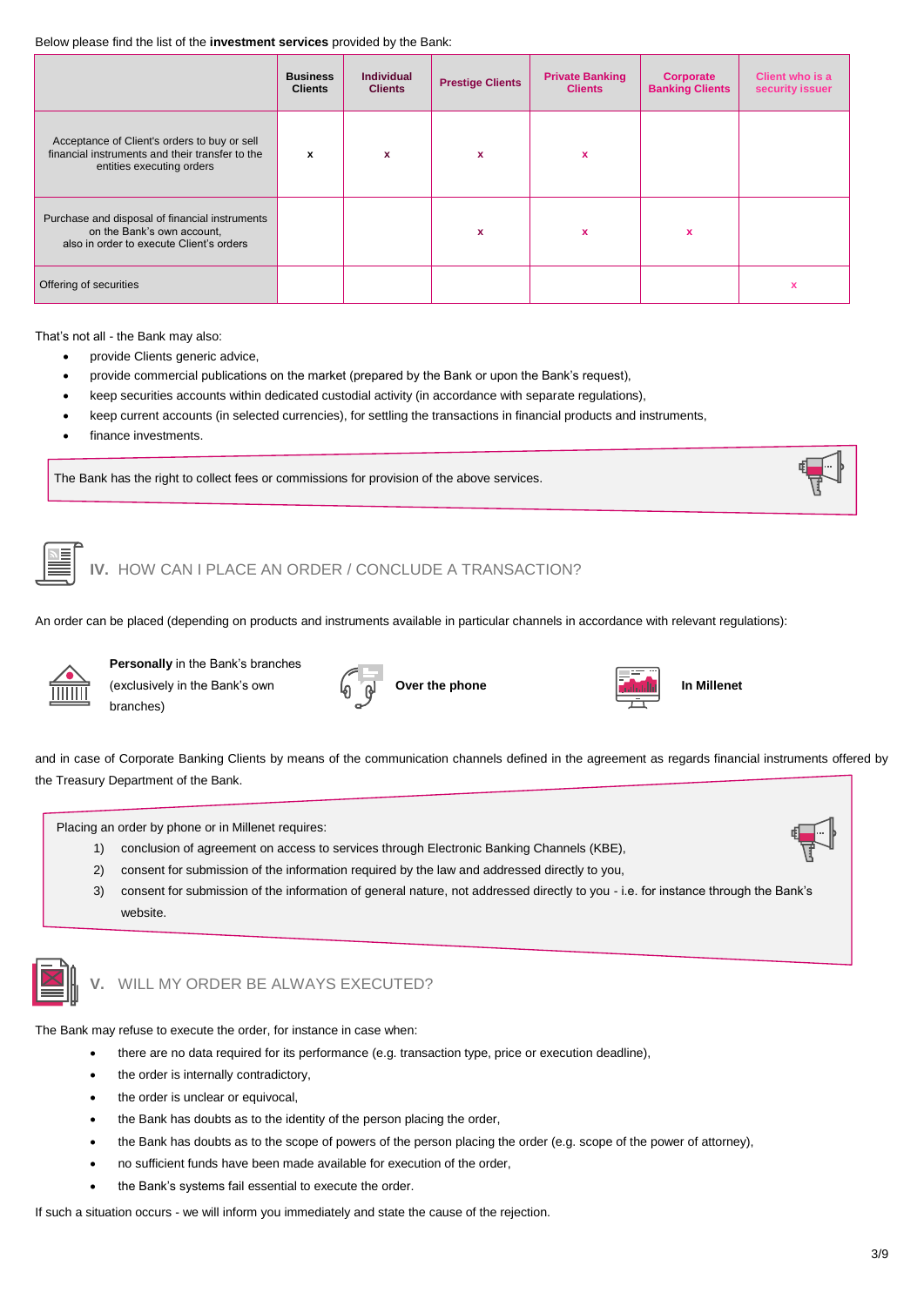#### Below please find the list of the **investment services** provided by the Bank:

|                                                                                                                              | <b>Business</b><br><b>Clients</b> | <b>Individual</b><br><b>Clients</b> | <b>Prestige Clients</b> | <b>Private Banking</b><br><b>Clients</b> | Corporate<br><b>Banking Clients</b> | Client who is a<br>security issuer |
|------------------------------------------------------------------------------------------------------------------------------|-----------------------------------|-------------------------------------|-------------------------|------------------------------------------|-------------------------------------|------------------------------------|
| Acceptance of Client's orders to buy or sell<br>financial instruments and their transfer to the<br>entities executing orders | x                                 | x                                   | x                       | x                                        |                                     |                                    |
| Purchase and disposal of financial instruments<br>on the Bank's own account,<br>also in order to execute Client's orders     |                                   |                                     | x                       | $\boldsymbol{\mathsf{x}}$                |                                     |                                    |
| Offering of securities                                                                                                       |                                   |                                     |                         |                                          |                                     |                                    |

That's not all - the Bank may also:

- provide Clients generic advice,
- provide commercial publications on the market (prepared by the Bank or upon the Bank's request),
- keep securities accounts within dedicated custodial activity (in accordance with separate regulations),
- keep current accounts (in selected currencies), for settling the transactions in financial products and instruments,
- finance investments.

The Bank has the right to collect fees or commissions for provision of the above services.



# **IV.** HOW CAN I PLACE AN ORDER / CONCLUDE A TRANSACTION?

An order can be placed (depending on products and instruments available in particular channels in accordance with relevant regulations):



**Personally** in the Bank's branches (exclusively in the Bank's own branches)





and in case of Corporate Banking Clients by means of the communication channels defined in the agreement as regards financial instruments offered by the Treasury Department of the Bank.

Placing an order by phone or in Millenet requires:

- 1) conclusion of agreement on access to services through Electronic Banking Channels (KBE),
- 2) consent for submission of the information required by the law and addressed directly to you,
- 3) consent for submission of the information of general nature, not addressed directly to you i.e. for instance through the Bank's website.



# **V.** WILL MY ORDER BE ALWAYS EXECUTED?

The Bank may refuse to execute the order, for instance in case when:

- there are no data required for its performance (e.g. transaction type, price or execution deadline),
- the order is internally contradictory,
- the order is unclear or equivocal,
- the Bank has doubts as to the identity of the person placing the order,
- the Bank has doubts as to the scope of powers of the person placing the order (e.g. scope of the power of attorney),
- no sufficient funds have been made available for execution of the order,
- the Bank's systems fail essential to execute the order.

If such a situation occurs - we will inform you immediately and state the cause of the rejection.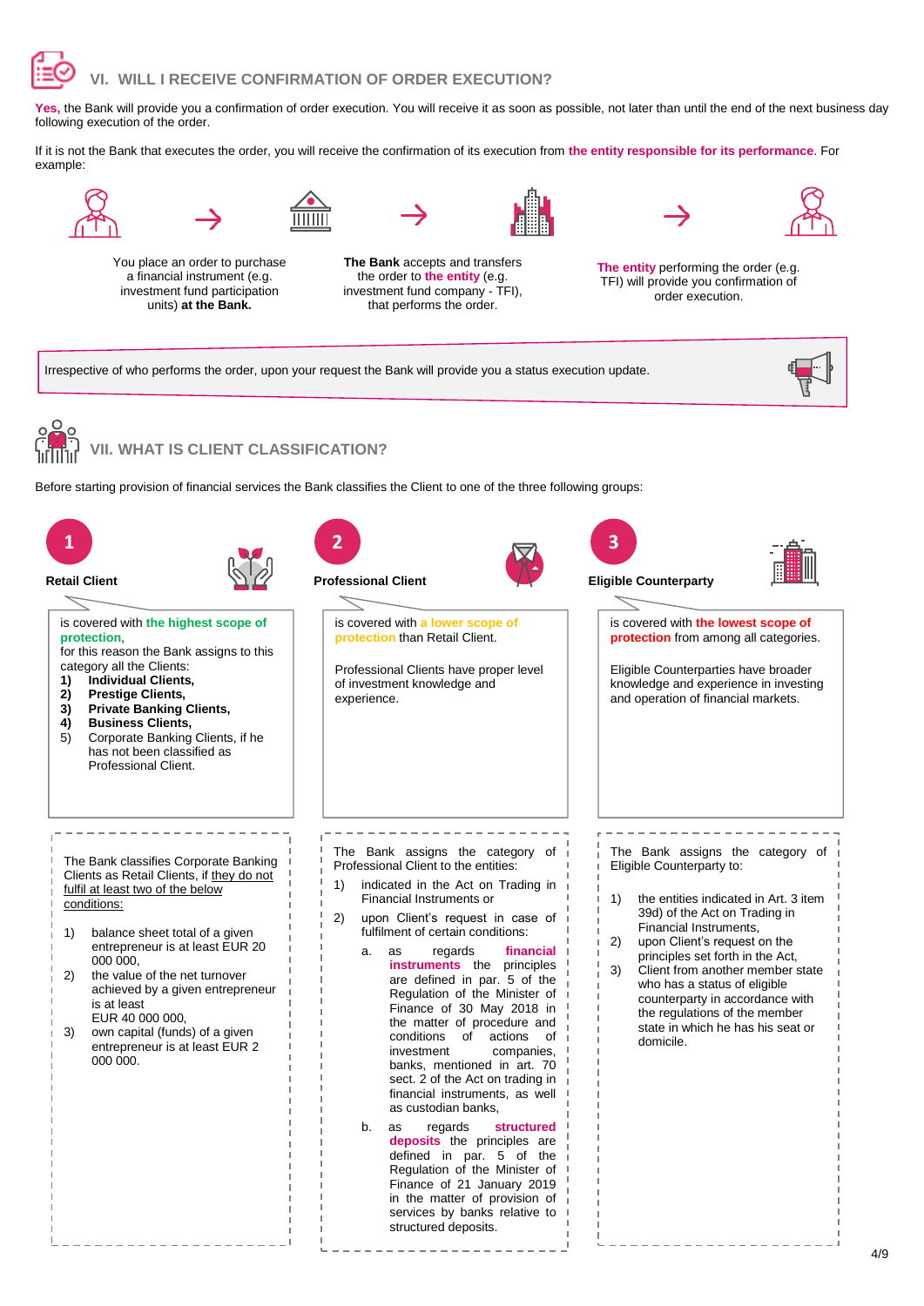

Yes, the Bank will provide you a confirmation of order execution. You will receive it as soon as possible, not later than until the end of the next business day following execution of the order.

If it is not the Bank that executes the order, you will receive the confirmation of its execution from **the entity responsible for its performance**. For example:





You place an order to purchase a financial instrument (e.g. investment fund participation units) **at the Bank.**

**The Bank** accepts and transfers the order to **the entity** (e.g. investment fund company - TFI), that performs the order.





**The entity** performing the order (e.g. TFI) will provide you confirmation of order execution.

Irrespective of who performs the order, upon your request the Bank will provide you a status execution update.



**VII. WHAT IS CLIENT CLASSIFICATION?** 

Before starting provision of financial services the Bank classifies the Client to one of the three following groups:

| 1<br><b>Retail Client</b><br>is covered with the highest scope of<br>protection.<br>for this reason the Bank assigns to this<br>category all the Clients:<br>Individual Clients,<br>1)<br><b>Prestige Clients,</b><br>2)<br><b>Private Banking Clients,</b><br>3)<br><b>Business Clients,</b><br>4)<br>Corporate Banking Clients, if he<br>5)<br>has not been classified as<br>Professional Client.                             | $\overline{2}$<br><b>Professional Client</b><br>is covered with a lower scope of<br>protection than Retail Client.<br>Professional Clients have proper level<br>of investment knowledge and<br>experience.                                                                                                                                                                                                                                                                                                                                                                                                                                                                                                                                                                                                                                                                           | 3<br><b>Eligible Counterparty</b><br>is covered with the lowest scope of<br>protection from among all categories.<br>Eligible Counterparties have broader<br>knowledge and experience in investing<br>and operation of financial markets.                                                                                                                                                                                                         |
|---------------------------------------------------------------------------------------------------------------------------------------------------------------------------------------------------------------------------------------------------------------------------------------------------------------------------------------------------------------------------------------------------------------------------------|--------------------------------------------------------------------------------------------------------------------------------------------------------------------------------------------------------------------------------------------------------------------------------------------------------------------------------------------------------------------------------------------------------------------------------------------------------------------------------------------------------------------------------------------------------------------------------------------------------------------------------------------------------------------------------------------------------------------------------------------------------------------------------------------------------------------------------------------------------------------------------------|---------------------------------------------------------------------------------------------------------------------------------------------------------------------------------------------------------------------------------------------------------------------------------------------------------------------------------------------------------------------------------------------------------------------------------------------------|
| The Bank classifies Corporate Banking<br>Clients as Retail Clients, if they do not<br>fulfil at least two of the below<br>conditions:<br>balance sheet total of a given<br>1)<br>entrepreneur is at least EUR 20<br>000 000.<br>the value of the net turnover<br>2)<br>achieved by a given entrepreneur<br>is at least<br>EUR 40 000 000,<br>own capital (funds) of a given<br>3)<br>entrepreneur is at least EUR 2<br>000 000. | The Bank assigns the category of<br>Professional Client to the entities:<br>1)<br>indicated in the Act on Trading in<br>Financial Instruments or<br>upon Client's request in case of<br>2)<br>fulfilment of certain conditions:<br>regards<br>financial<br>as<br>a.<br>instruments the principles<br>are defined in par. 5 of the<br>Regulation of the Minister of<br>Finance of 30 May 2018 in<br>the matter of procedure and<br>conditions<br>of<br>actions<br>of<br>investment<br>companies,<br>banks, mentioned in art. 70<br>sect. 2 of the Act on trading in<br>financial instruments, as well<br>as custodian banks,<br>regards<br>b.<br>as<br>structured<br>deposits the principles are<br>defined in par. 5 of the<br>Regulation of the Minister of<br>Finance of 21 January 2019<br>in the matter of provision of<br>services by banks relative to<br>structured deposits. | The Bank assigns the category of<br>Eligible Counterparty to:<br>the entities indicated in Art. 3 item<br>1)<br>39d) of the Act on Trading in<br>Financial Instruments,<br>upon Client's request on the<br>2)<br>principles set forth in the Act,<br>3)<br>Client from another member state<br>who has a status of eligible<br>counterparty in accordance with<br>the regulations of the member<br>state in which he has his seat or<br>domicile. |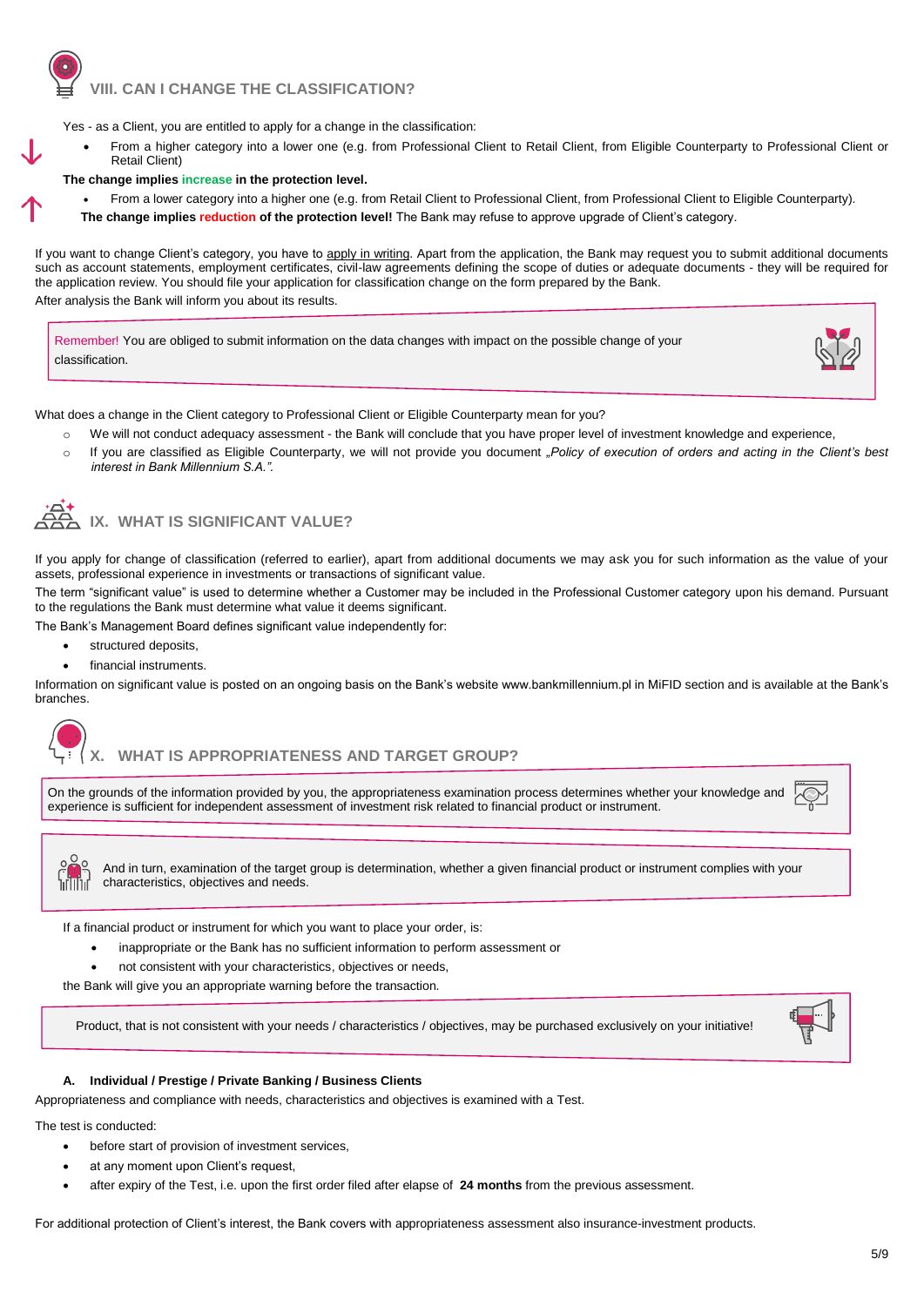### **VIII. CAN I CHANGE THE CLASSIFICATION?**

Yes - as a Client, you are entitled to apply for a change in the classification:

 From a higher category into a lower one (e.g. from Professional Client to Retail Client, from Eligible Counterparty to Professional Client or Retail Client)

#### **The change implies increase in the protection level.**

- From a lower category into a higher one (e.g. from Retail Client to Professional Client, from Professional Client to Eligible Counterparty).
- **The change implies reduction of the protection level!** The Bank may refuse to approve upgrade of Client's category.

If you want to change Client's category, you have to apply in writing. Apart from the application, the Bank may request you to submit additional documents such as account statements, employment certificates, civil-law agreements defining the scope of duties or adequate documents - they will be required for the application review. You should file your application for classification change on the form prepared by the Bank.

After analysis the Bank will inform you about its results.

Remember! You are obliged to submit information on the data changes with impact on the possible change of your classification.



What does a change in the Client category to Professional Client or Eligible Counterparty mean for you?

- We will not conduct adequacy assessment the Bank will conclude that you have proper level of investment knowledge and experience,
- o If you are classified as Eligible Counterparty, we will not provide you document *"Policy of execution of orders and acting in the Client's best interest in Bank Millennium S.A.".*



### **IX. WHAT IS SIGNIFICANT VALUE?**

If you apply for change of classification (referred to earlier), apart from additional documents we may ask you for such information as the value of your assets, professional experience in investments or transactions of significant value.

The term "significant value" is used to determine whether a Customer may be included in the Professional Customer category upon his demand. Pursuant to the regulations the Bank must determine what value it deems significant.

The Bank's Management Board defines significant value independently for:

- structured deposits,
- financial instruments.

Information on significant value is posted on an ongoing basis on the Bank's website www.bankmillennium.pl in MiFID section and is available at the Bank's branches.



### **X. WHAT IS APPROPRIATENESS AND TARGET GROUP?**

On the grounds of the information provided by you, the appropriateness examination process determines whether your knowledge and experience is sufficient for independent assessment of investment risk related to financial product or instrument.



And in turn, examination of the target group is determination, whether a given financial product or instrument complies with your characteristics, objectives and needs.

If a financial product or instrument for which you want to place your order, is:

- inappropriate or the Bank has no sufficient information to perform assessment or
- not consistent with your characteristics, objectives or needs,

the Bank will give you an appropriate warning before the transaction.

Product, that is not consistent with your needs / characteristics / objectives, may be purchased exclusively on your initiative!



#### **A. Individual / Prestige / Private Banking / Business Clients**

Appropriateness and compliance with needs, characteristics and objectives is examined with a Test.

The test is conducted:

- before start of provision of investment services,
- at any moment upon Client's request,
- after expiry of the Test, i.e. upon the first order filed after elapse of **24 months** from the previous assessment.

For additional protection of Client's interest, the Bank covers with appropriateness assessment also insurance-investment products.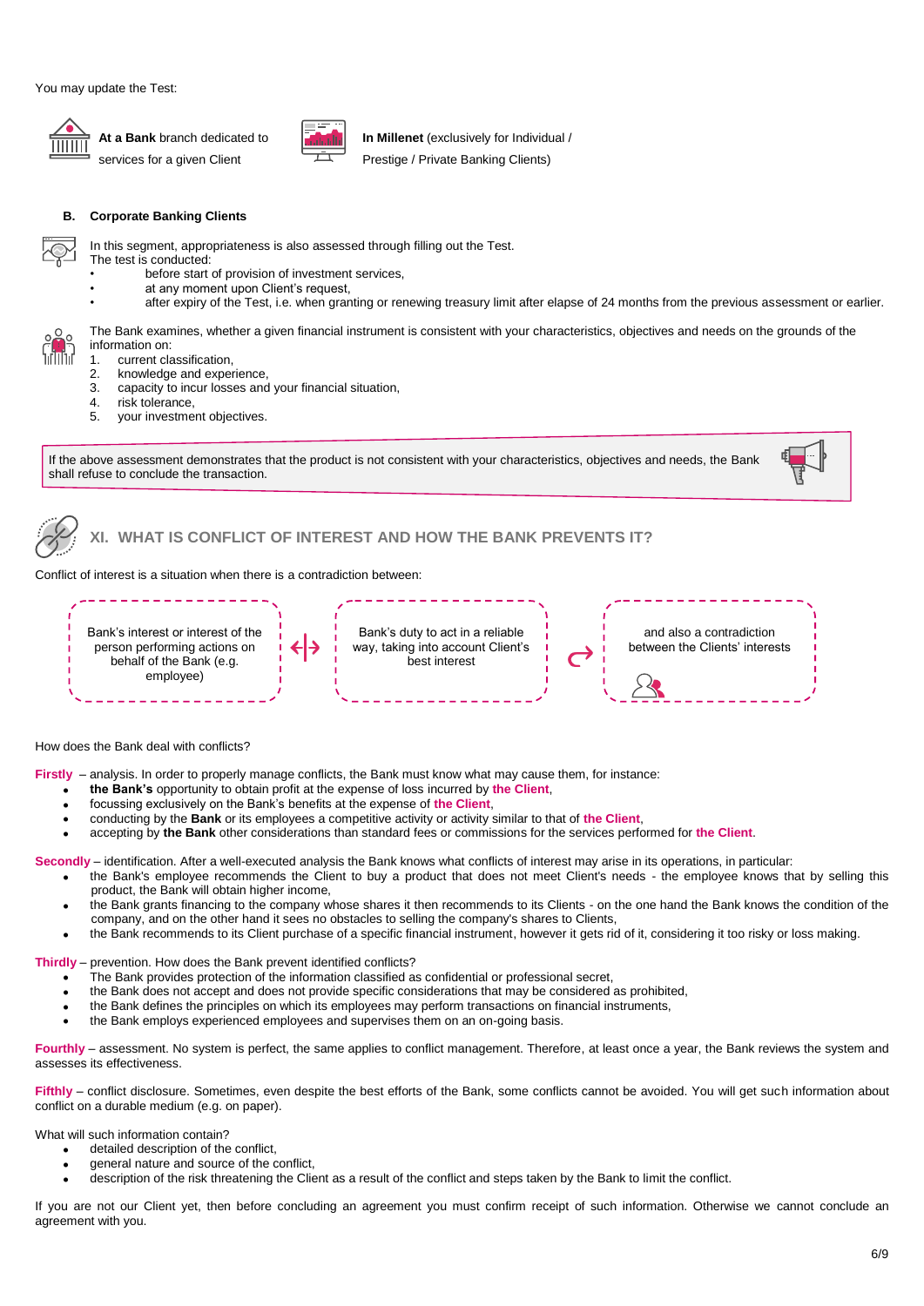

**At a Bank** branch dedicated to services for a given Client



**In Millenet** (exclusively for Individual /

Prestige / Private Banking Clients)

#### **B. Corporate Banking Clients**

In this segment, appropriateness is also assessed through filling out the Test.

- The test is conducted:
- before start of provision of investment services,
- at any moment upon Client's request,
- after expiry of the Test, i.e. when granting or renewing treasury limit after elapse of 24 months from the previous assessment or earlier.

The Bank examines, whether a given financial instrument is consistent with your characteristics, objectives and needs on the grounds of the information on:

- 1. current classification,<br>2. knowledge and exper
- 2. knowledge and experience,<br>3. capacity to incur losses and
- capacity to incur losses and your financial situation,
- 4. risk tolerance,<br>5. vour investme
- your investment objectives.

If the above assessment demonstrates that the product is not consistent with your characteristics, objectives and needs, the Bank shall refuse to conclude the transaction.



**XI. WHAT IS CONFLICT OF INTEREST AND HOW THE BANK PREVENTS IT?** 

Conflict of interest is a situation when there is a contradiction between:



How does the Bank deal with conflicts?

**Firstly** – analysis. In order to properly manage conflicts, the Bank must know what may cause them, for instance:

- **the Bank's** opportunity to obtain profit at the expense of loss incurred by **the Client**,
- focussing exclusively on the Bank's benefits at the expense of **the Client**,
- conducting by the **Bank** or its employees a competitive activity or activity similar to that of **the Client**,
- accepting by **the Bank** other considerations than standard fees or commissions for the services performed for **the Client**.

**Secondly** – identification. After a well-executed analysis the Bank knows what conflicts of interest may arise in its operations, in particular:

- the Bank's employee recommends the Client to buy a product that does not meet Client's needs the employee knows that by selling this product, the Bank will obtain higher income,
- the Bank grants financing to the company whose shares it then recommends to its Clients on the one hand the Bank knows the condition of the company, and on the other hand it sees no obstacles to selling the company's shares to Clients,
- the Bank recommends to its Client purchase of a specific financial instrument, however it gets rid of it, considering it too risky or loss making.

**Thirdly** – prevention. How does the Bank prevent identified conflicts?

- The Bank provides protection of the information classified as confidential or professional secret,
- the Bank does not accept and does not provide specific considerations that may be considered as prohibited,
- the Bank defines the principles on which its employees may perform transactions on financial instruments,
- the Bank employs experienced employees and supervises them on an on-going basis.

**Fourthly** – assessment. No system is perfect, the same applies to conflict management. Therefore, at least once a year, the Bank reviews the system and assesses its effectiveness.

Fifthly – conflict disclosure. Sometimes, even despite the best efforts of the Bank, some conflicts cannot be avoided. You will get such information about conflict on a durable medium (e.g. on paper).

What will such information contain?

- detailed description of the conflict,
- general nature and source of the conflict,
- description of the risk threatening the Client as a result of the conflict and steps taken by the Bank to limit the conflict.

If you are not our Client yet, then before concluding an agreement you must confirm receipt of such information. Otherwise we cannot conclude an agreement with you.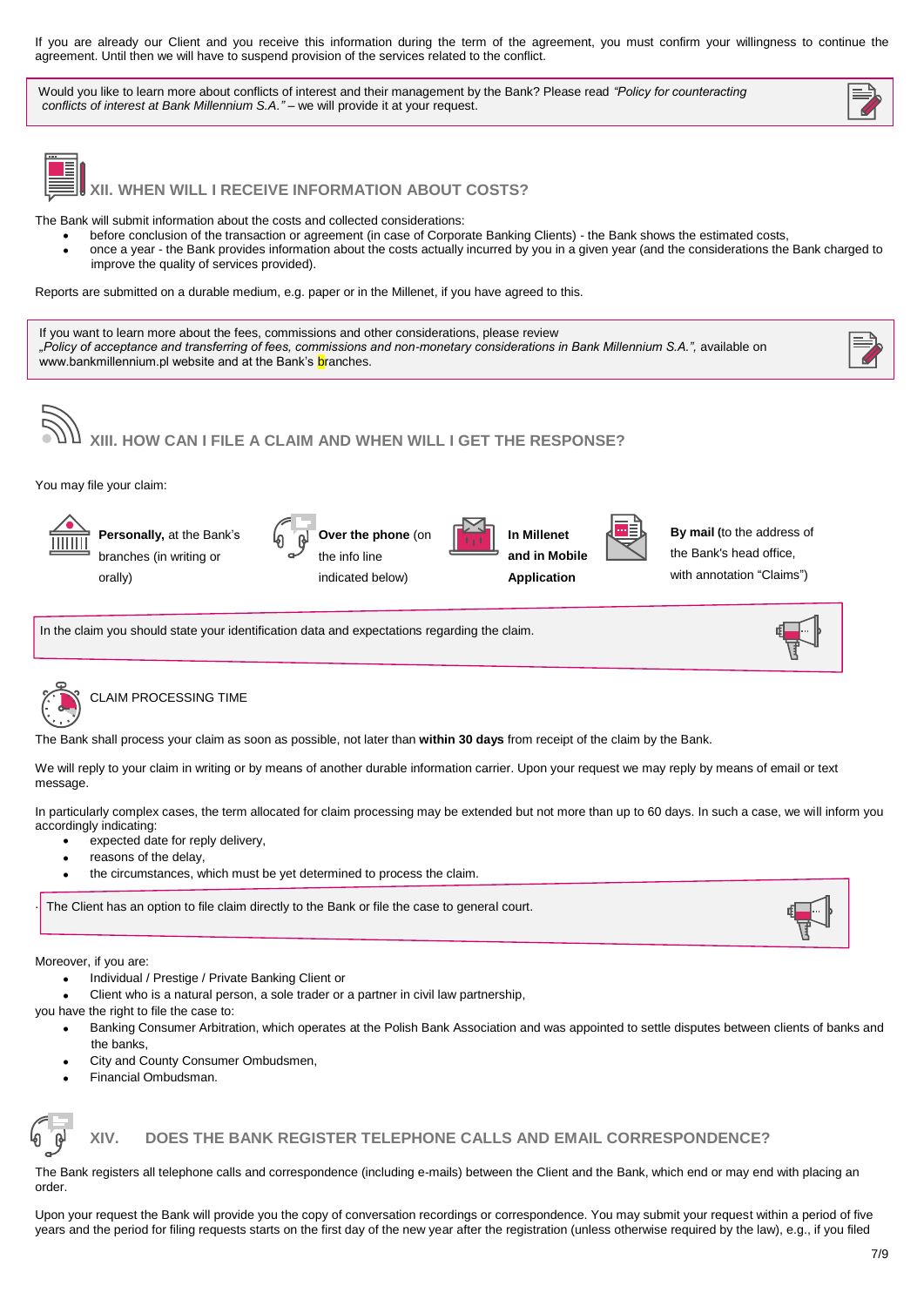If you are already our Client and you receive this information during the term of the agreement, you must confirm your willingness to continue the agreement. Until then we will have to suspend provision of the services related to the conflict.

Would you like to learn more about conflicts of interest and their management by the Bank? Please read *"Policy for counteracting conflicts of interest at Bank Millennium S.A."* – we will provide it at your request.



**XII. WHEN WILL I RECEIVE INFORMATION ABOUT COSTS?** 

The Bank will submit information about the costs and collected considerations:

- before conclusion of the transaction or agreement (in case of Corporate Banking Clients) the Bank shows the estimated costs,
- once a year the Bank provides information about the costs actually incurred by you in a given year (and the considerations the Bank charged to improve the quality of services provided).

Reports are submitted on a durable medium, e.g. paper or in the Millenet, if you have agreed to this.

If you want to learn more about the fees, commissions and other considerations, please review *"Policy of acceptance and transferring of fees, commissions and non-monetary considerations in Bank Millennium S.A.",* available on www.bankmillennium.pl website and at the Bank's **branches.** 



You may file your claim:

**Personally,** at the Bank's branches (in writing or orally)

| $\overline{a}$ | Over the phone (on |
|----------------|--------------------|
|                | the info line      |
|                |                    |

indicated below)



**By mail (**to the address of the Bank's head office, with annotation "Claims")

In the claim you should state your identification data and expectations regarding the claim.



.

#### CLAIM PROCESSING TIME

The Bank shall process your claim as soon as possible, not later than **within 30 days** from receipt of the claim by the Bank.

We will reply to your claim in writing or by means of another durable information carrier. Upon your request we may reply by means of email or text message.

In particularly complex cases, the term allocated for claim processing may be extended but not more than up to 60 days. In such a case, we will inform you accordingly indicating:

- expected date for reply delivery,
- reasons of the delay,
- the circumstances, which must be yet determined to process the claim.

The Client has an option to file claim directly to the Bank or file the case to general court.

Moreover, if you are:

- Individual / Prestige / Private Banking Client or
- Client who is a natural person, a sole trader or a partner in civil law partnership,

you have the right to file the case to:

- Banking Consumer Arbitration, which operates at the Polish Bank Association and was appointed to settle disputes between clients of banks and the banks,
- City and County Consumer Ombudsmen,
- Financial Ombudsman.



#### **XIV. DOES THE BANK REGISTER TELEPHONE CALLS AND EMAIL CORRESPONDENCE?**

The Bank registers all telephone calls and correspondence (including e-mails) between the Client and the Bank, which end or may end with placing an order.

Upon your request the Bank will provide you the copy of conversation recordings or correspondence. You may submit your request within a period of five years and the period for filing requests starts on the first day of the new year after the registration (unless otherwise required by the law), e.g., if you filed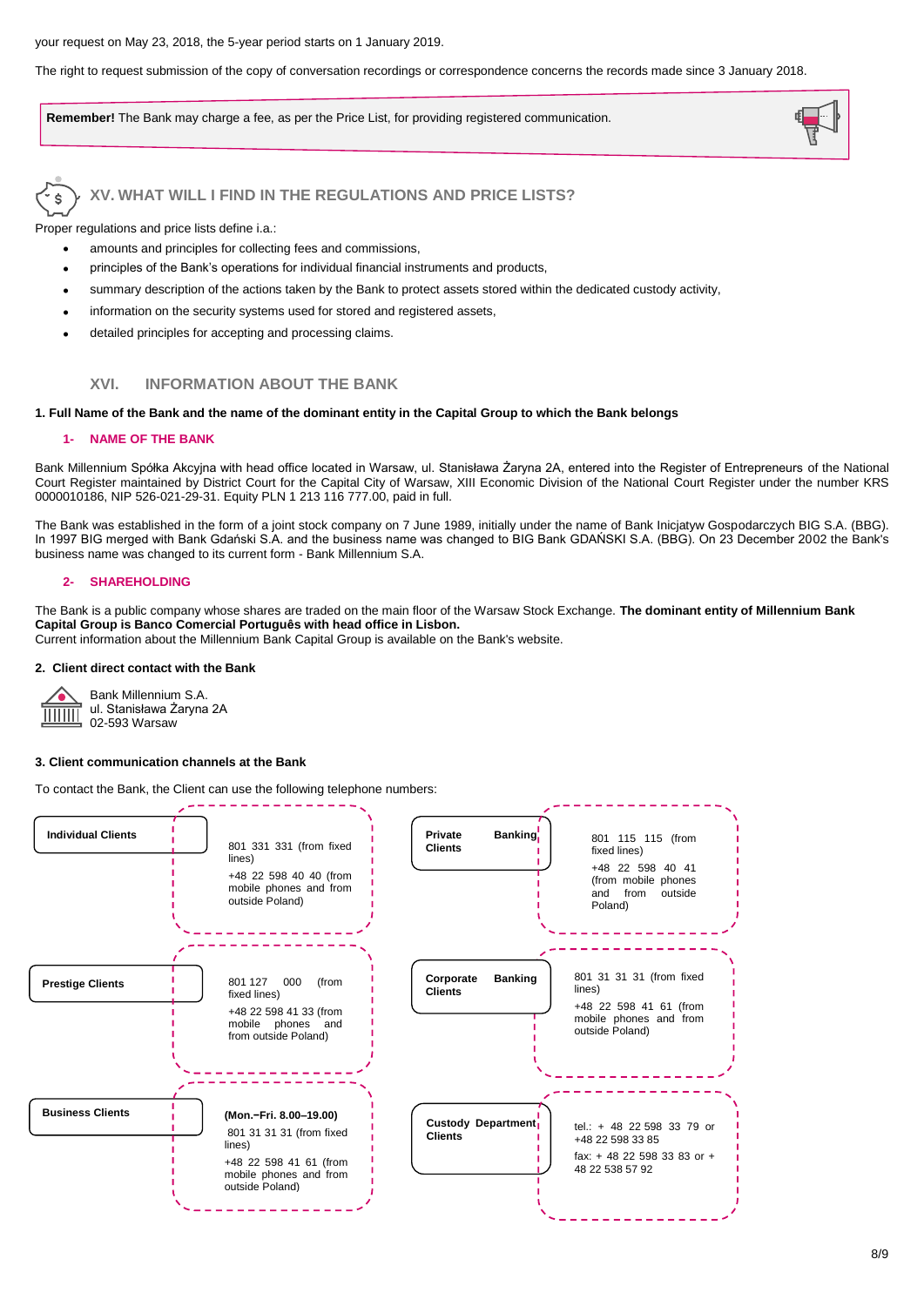#### your request on May 23, 2018, the 5-year period starts on 1 January 2019.

The right to request submission of the copy of conversation recordings or correspondence concerns the records made since 3 January 2018.

**Remember!** The Bank may charge a fee, as per the Price List, for providing registered communication.



# **V. WHAT WILL I FIND IN THE REGULATIONS AND PRICE LISTS?**

Proper regulations and price lists define i.a.:

- amounts and principles for collecting fees and commissions,
- principles of the Bank's operations for individual financial instruments and products,
- summary description of the actions taken by the Bank to protect assets stored within the dedicated custody activity,
- information on the security systems used for stored and registered assets,
- detailed principles for accepting and processing claims.

### **XVI. INFORMATION ABOUT THE BANK**

#### **1. Full Name of the Bank and the name of the dominant entity in the Capital Group to which the Bank belongs**

#### **1- NAME OF THE BANK**

Bank Millennium Spółka Akcyjna with head office located in Warsaw, ul. Stanisława Żaryna 2A, entered into the Register of Entrepreneurs of the National Court Register maintained by District Court for the Capital City of Warsaw, XIII Economic Division of the National Court Register under the number KRS 0000010186, NIP 526-021-29-31. Equity PLN 1 213 116 777.00, paid in full.

The Bank was established in the form of a joint stock company on 7 June 1989, initially under the name of Bank Inicjatyw Gospodarczych BIG S.A. (BBG). In 1997 BIG merged with Bank Gdański S.A. and the business name was changed to BIG Bank GDAŃSKI S.A. (BBG). On 23 December 2002 the Bank's business name was changed to its current form - Bank Millennium S.A.

#### **2- SHAREHOLDING**

The Bank is a public company whose shares are traded on the main floor of the Warsaw Stock Exchange. **The dominant entity of Millennium Bank Capital Group is Banco Comercial Português with head office in Lisbon.**

Current information about the Millennium Bank Capital Group is available on the Bank's website.

#### **2. Client direct contact with the Bank**



Bank Millennium S.A. ul. Stanisława Żaryna 2A 02-593 Warsaw

#### **3. Client communication channels at the Bank**

To contact the Bank, the Client can use the following telephone numbers: